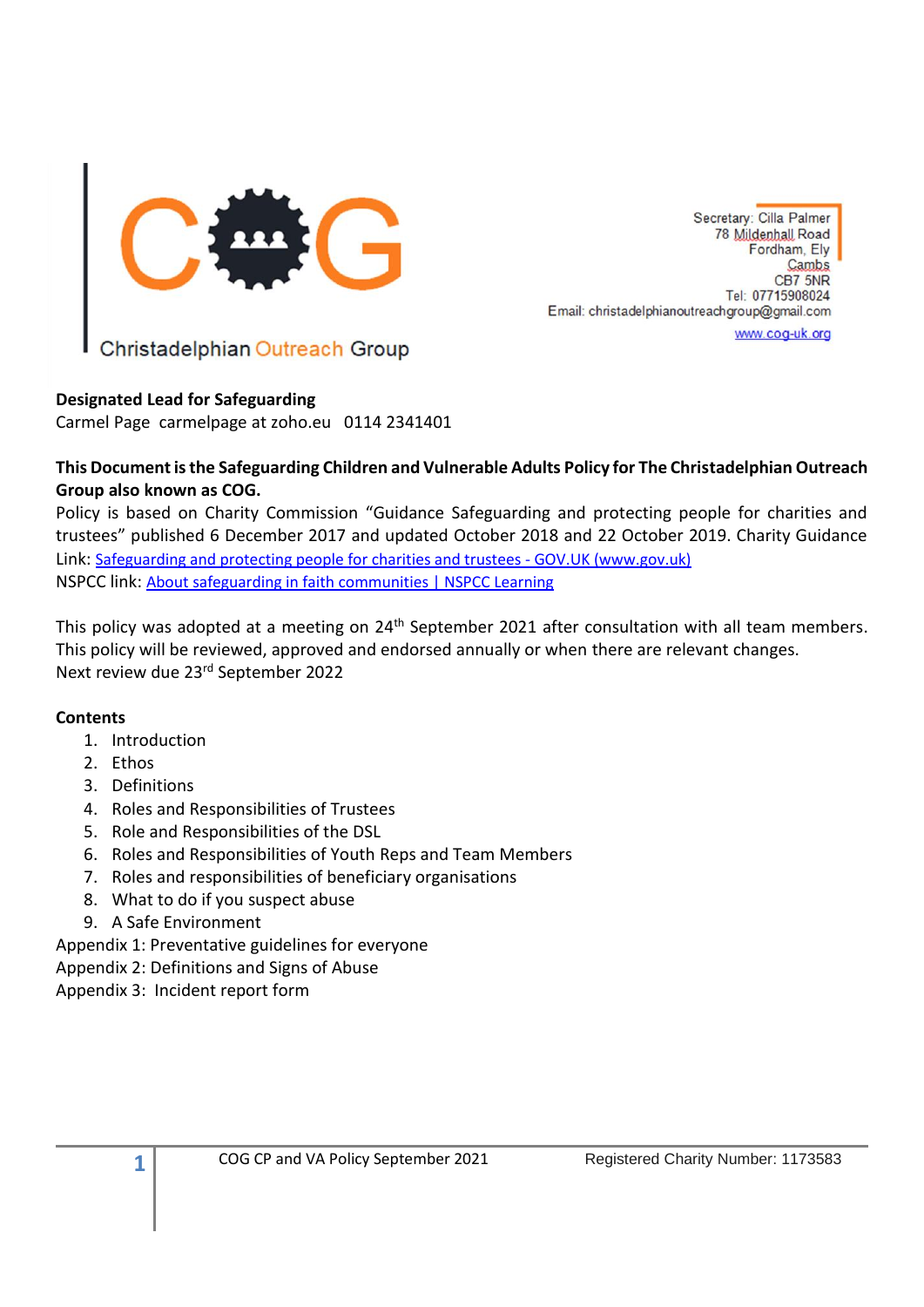

Christadelphian Outreach Group

# **Designated Lead for Safeguarding**

Carmel Page carmelpage at zoho.eu 0114 2341401

# **This Document is the Safeguarding Children and Vulnerable Adults Policy for The Christadelphian Outreach Group also known as COG.**

Policy is based on Charity Commission "Guidance Safeguarding and protecting people for charities and trustees" published 6 December 2017 and updated October 2018 and 22 October 2019. Charity Guidance Link: Safeguarding and protecting people for charities and trustees - GOV.UK (www.gov.uk) NSPCC link: [About safeguarding in faith communities | NSPCC Learning](https://learning.nspcc.org.uk/safeguarding-child-protection/for-faith-communities/about-safeguarding-in-faith-communities)

This policy was adopted at a meeting on 24<sup>th</sup> September 2021 after consultation with all team members. This policy will be reviewed, approved and endorsed annually or when there are relevant changes. Next review due 23rd September 2022

# **Contents**

- 1. Introduction
- 2. Ethos
- 3. Definitions

**1**

- 4. Roles and Responsibilities of Trustees
- 5. Role and Responsibilities of the DSL
- 6. Roles and Responsibilities of Youth Reps and Team Members
- 7. Roles and responsibilities of beneficiary organisations
- 8. What to do if you suspect abuse
- 9. A Safe Environment

Appendix 1: Preventative guidelines for everyone Appendix 2: Definitions and Signs of Abuse Appendix 3: Incident report form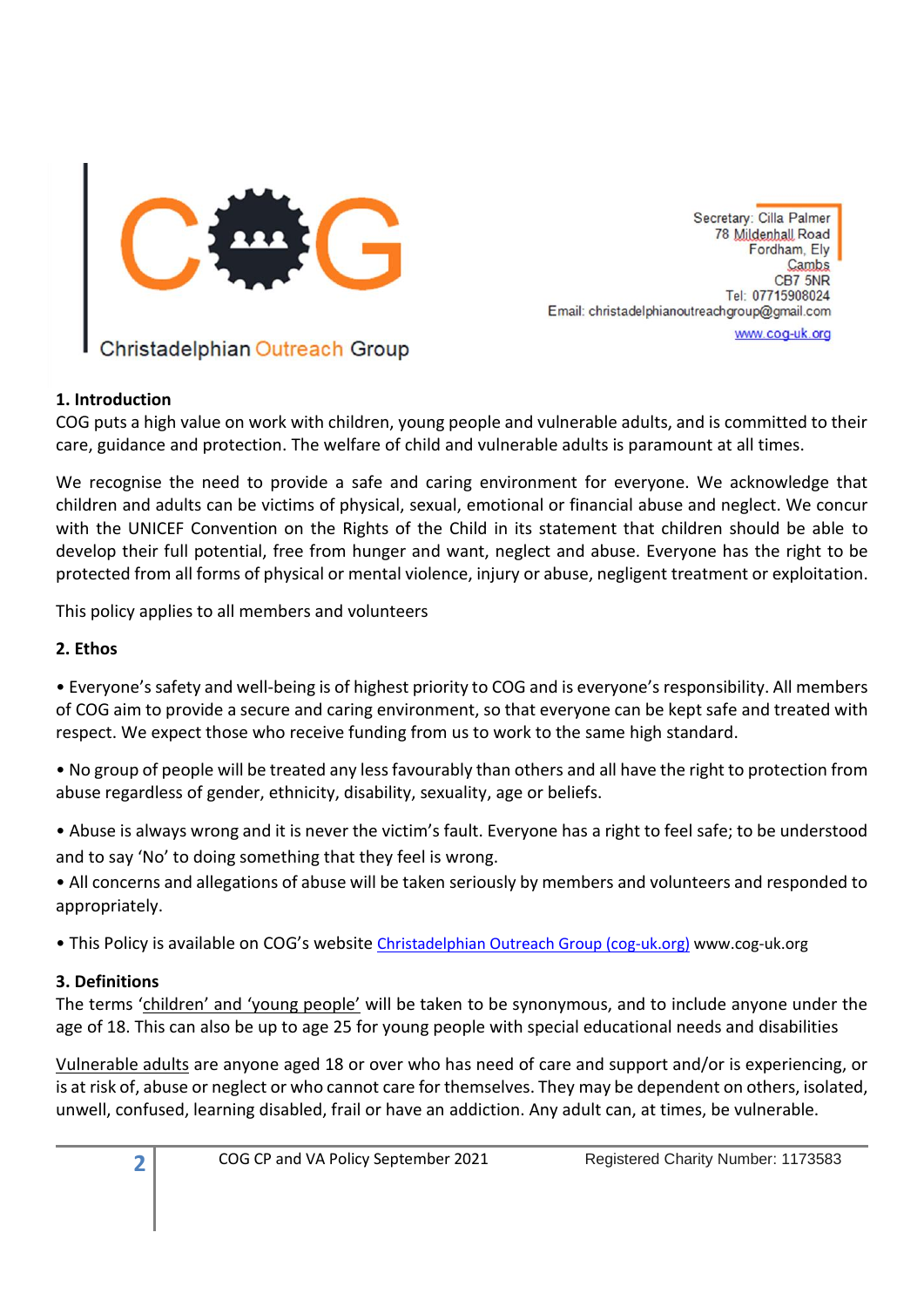

#### **1. Introduction**

COG puts a high value on work with children, young people and vulnerable adults, and is committed to their care, guidance and protection. The welfare of child and vulnerable adults is paramount at all times.

We recognise the need to provide a safe and caring environment for everyone. We acknowledge that children and adults can be victims of physical, sexual, emotional or financial abuse and neglect. We concur with the UNICEF Convention on the Rights of the Child in its statement that children should be able to develop their full potential, free from hunger and want, neglect and abuse. Everyone has the right to be protected from all forms of physical or mental violence, injury or abuse, negligent treatment or exploitation.

This policy applies to all members and volunteers

#### **2. Ethos**

• Everyone's safety and well-being is of highest priority to COG and is everyone's responsibility. All members of COG aim to provide a secure and caring environment, so that everyone can be kept safe and treated with respect. We expect those who receive funding from us to work to the same high standard.

• No group of people will be treated any less favourably than others and all have the right to protection from abuse regardless of gender, ethnicity, disability, sexuality, age or beliefs.

• Abuse is always wrong and it is never the victim's fault. Everyone has a right to feel safe; to be understood and to say 'No' to doing something that they feel is wrong.

• All concerns and allegations of abuse will be taken seriously by members and volunteers and responded to appropriately.

• This Policy is available on COG's website [Christadelphian Outreach Group \(cog-uk.org\)](https://www.cog-uk.org/) www.cog-uk.org

#### **3. Definitions**

**2**

The terms 'children' and 'young people' will be taken to be synonymous, and to include anyone under the age of 18. This can also be up to age 25 for young people with special educational needs and disabilities

Vulnerable adults are anyone aged 18 or over who has need of care and support and/or is experiencing, or is at risk of, abuse or neglect or who cannot care for themselves. They may be dependent on others, isolated, unwell, confused, learning disabled, frail or have an addiction. Any adult can, at times, be vulnerable.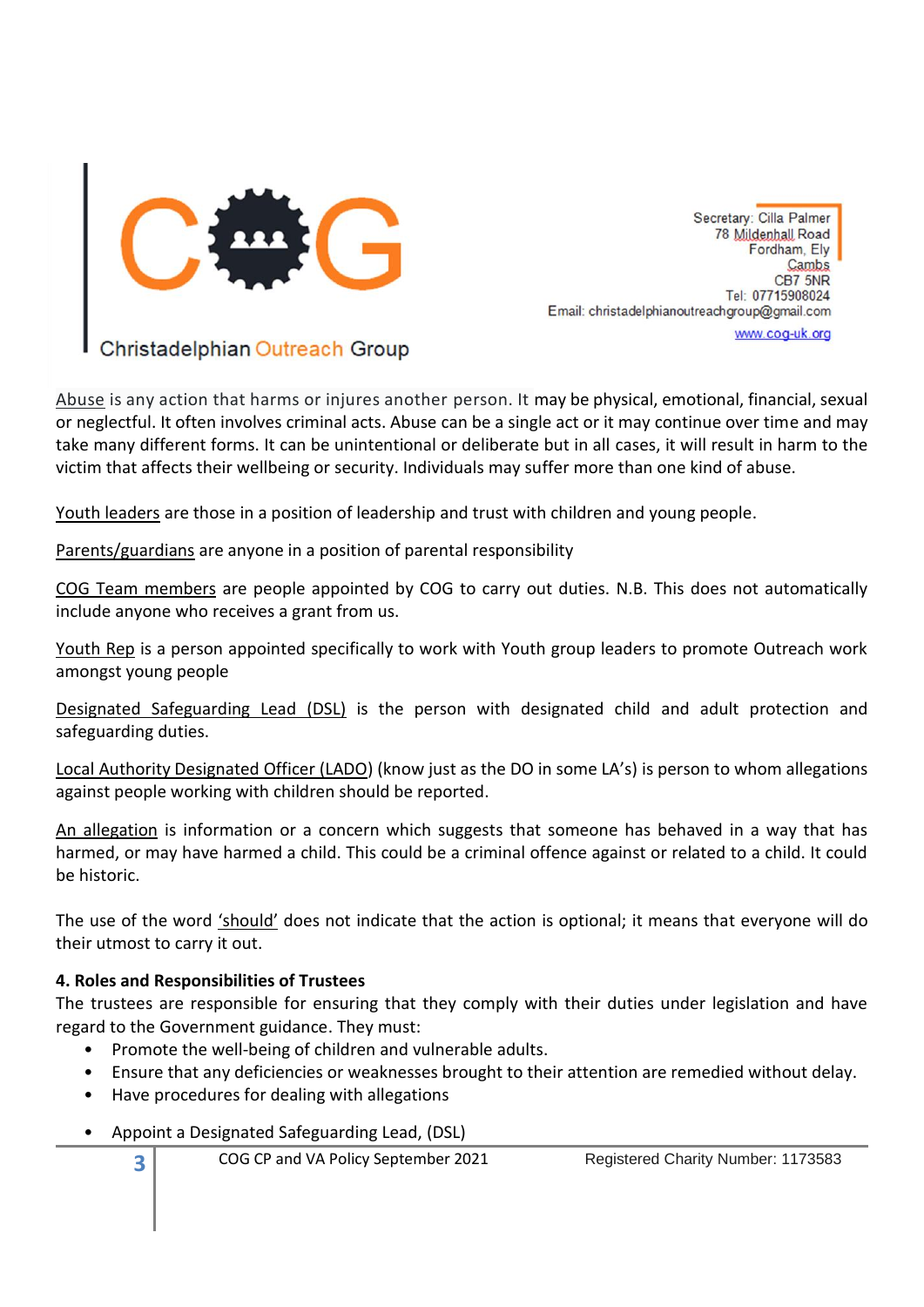

Christadelphian Outreach Group

Abuse is any action that harms or injures another person. It may be physical, emotional, financial, sexual or neglectful. It often involves criminal acts. Abuse can be a single act or it may continue over time and may take many different forms. It can be unintentional or deliberate but in all cases, it will result in harm to the victim that affects their wellbeing or security. Individuals may suffer more than one kind of abuse.

Youth leaders are those in a position of leadership and trust with children and young people.

Parents/guardians are anyone in a position of parental responsibility

COG Team members are people appointed by COG to carry out duties. N.B. This does not automatically include anyone who receives a grant from us.

Youth Rep is a person appointed specifically to work with Youth group leaders to promote Outreach work amongst young people

Designated Safeguarding Lead (DSL) is the person with designated child and adult protection and safeguarding duties.

Local Authority Designated Officer (LADO) (know just as the DO in some LA's) is person to whom allegations against people working with children should be reported.

An allegation is information or a concern which suggests that someone has behaved in a way that has harmed, or may have harmed a child. This could be a criminal offence against or related to a child. It could be historic.

The use of the word 'should' does not indicate that the action is optional; it means that everyone will do their utmost to carry it out.

#### **4. Roles and Responsibilities of Trustees**

The trustees are responsible for ensuring that they comply with their duties under legislation and have regard to the Government guidance. They must:

- Promote the well-being of children and vulnerable adults.
- Ensure that any deficiencies or weaknesses brought to their attention are remedied without delay.
- Have procedures for dealing with allegations
- Appoint a Designated Safeguarding Lead, (DSL)
	- COG CP and VA Policy September 2021 Registered Charity Number: 1173583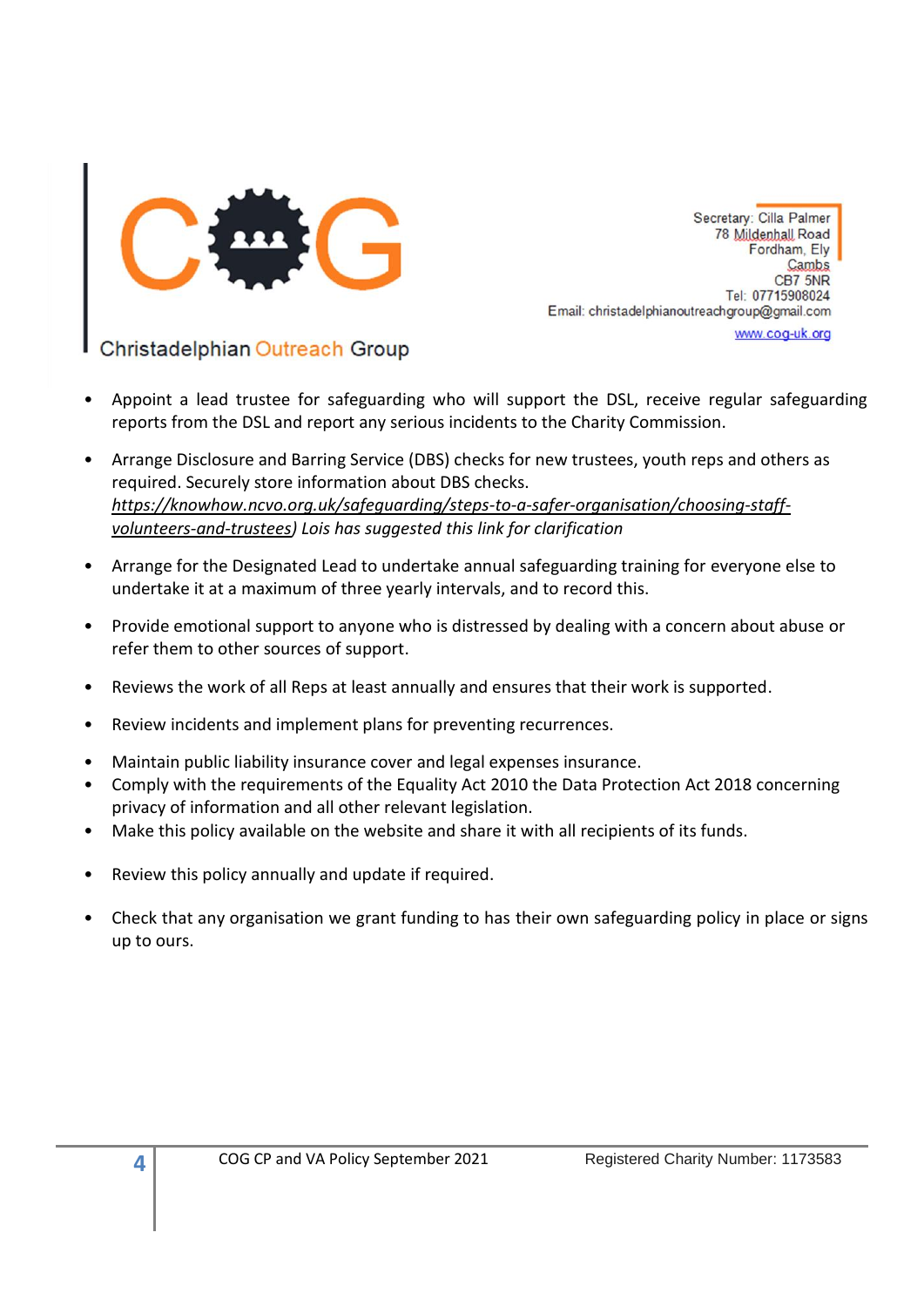

Christadelphian Outreach Group

- Appoint a lead trustee for safeguarding who will support the DSL, receive regular safeguarding reports from the DSL and report any serious incidents to the Charity Commission.
- Arrange Disclosure and Barring Service (DBS) checks for new trustees, youth reps and others as required. Securely store information about DBS checks. *[https://knowhow.ncvo.org.uk/safeguarding/steps-to-a-safer-organisation/choosing-staff](https://knowhow.ncvo.org.uk/safeguarding/steps-to-a-safer-organisation/choosing-staff-volunteers-and-trustees)[volunteers-and-trustees\)](https://knowhow.ncvo.org.uk/safeguarding/steps-to-a-safer-organisation/choosing-staff-volunteers-and-trustees) Lois has suggested this link for clarification*
- Arrange for the Designated Lead to undertake annual safeguarding training for everyone else to undertake it at a maximum of three yearly intervals, and to record this.
- Provide emotional support to anyone who is distressed by dealing with a concern about abuse or refer them to other sources of support.
- Reviews the work of all Reps at least annually and ensures that their work is supported.
- Review incidents and implement plans for preventing recurrences.
- Maintain public liability insurance cover and legal expenses insurance.
- Comply with the requirements of the Equality Act 2010 the Data Protection Act 2018 concerning privacy of information and all other relevant legislation.
- Make this policy available on the website and share it with all recipients of its funds.
- Review this policy annually and update if required.
- Check that any organisation we grant funding to has their own safeguarding policy in place or signs up to ours.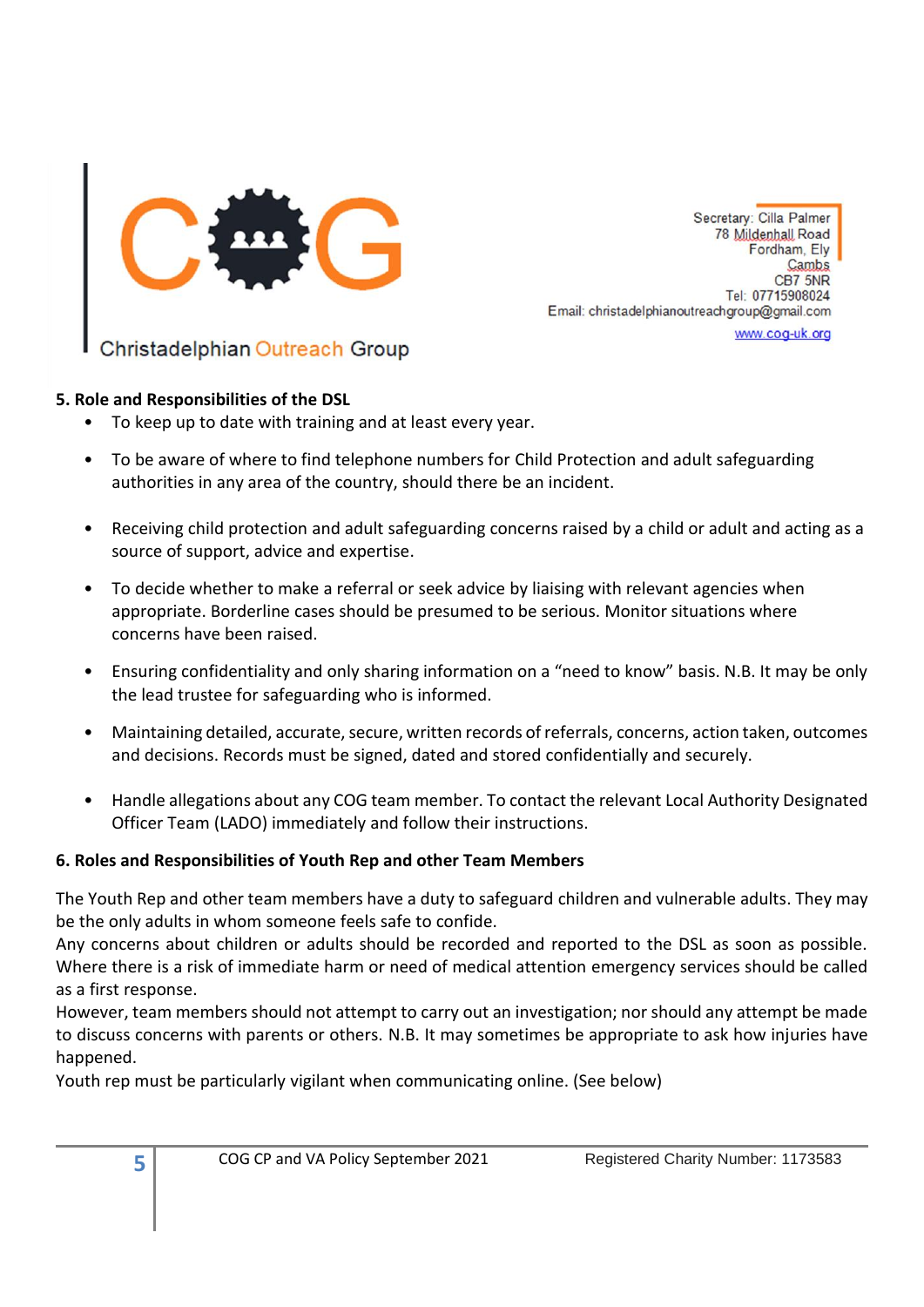

Christadelphian Outreach Group

#### **5. Role and Responsibilities of the DSL**

- To keep up to date with training and at least every year.
- To be aware of where to find telephone numbers for Child Protection and adult safeguarding authorities in any area of the country, should there be an incident.
- Receiving child protection and adult safeguarding concerns raised by a child or adult and acting as a source of support, advice and expertise.
- To decide whether to make a referral or seek advice by liaising with relevant agencies when appropriate. Borderline cases should be presumed to be serious. Monitor situations where concerns have been raised.
- Ensuring confidentiality and only sharing information on a "need to know" basis. N.B. It may be only the lead trustee for safeguarding who is informed.
- Maintaining detailed, accurate, secure, written records of referrals, concerns, action taken, outcomes and decisions. Records must be signed, dated and stored confidentially and securely.
- Handle allegations about any COG team member. To contact the relevant Local Authority Designated Officer Team (LADO) immediately and follow their instructions.

# **6. Roles and Responsibilities of Youth Rep and other Team Members**

The Youth Rep and other team members have a duty to safeguard children and vulnerable adults. They may be the only adults in whom someone feels safe to confide.

Any concerns about children or adults should be recorded and reported to the DSL as soon as possible. Where there is a risk of immediate harm or need of medical attention emergency services should be called as a first response.

However, team members should not attempt to carry out an investigation; nor should any attempt be made to discuss concerns with parents or others. N.B. It may sometimes be appropriate to ask how injuries have happened.

Youth rep must be particularly vigilant when communicating online. (See below)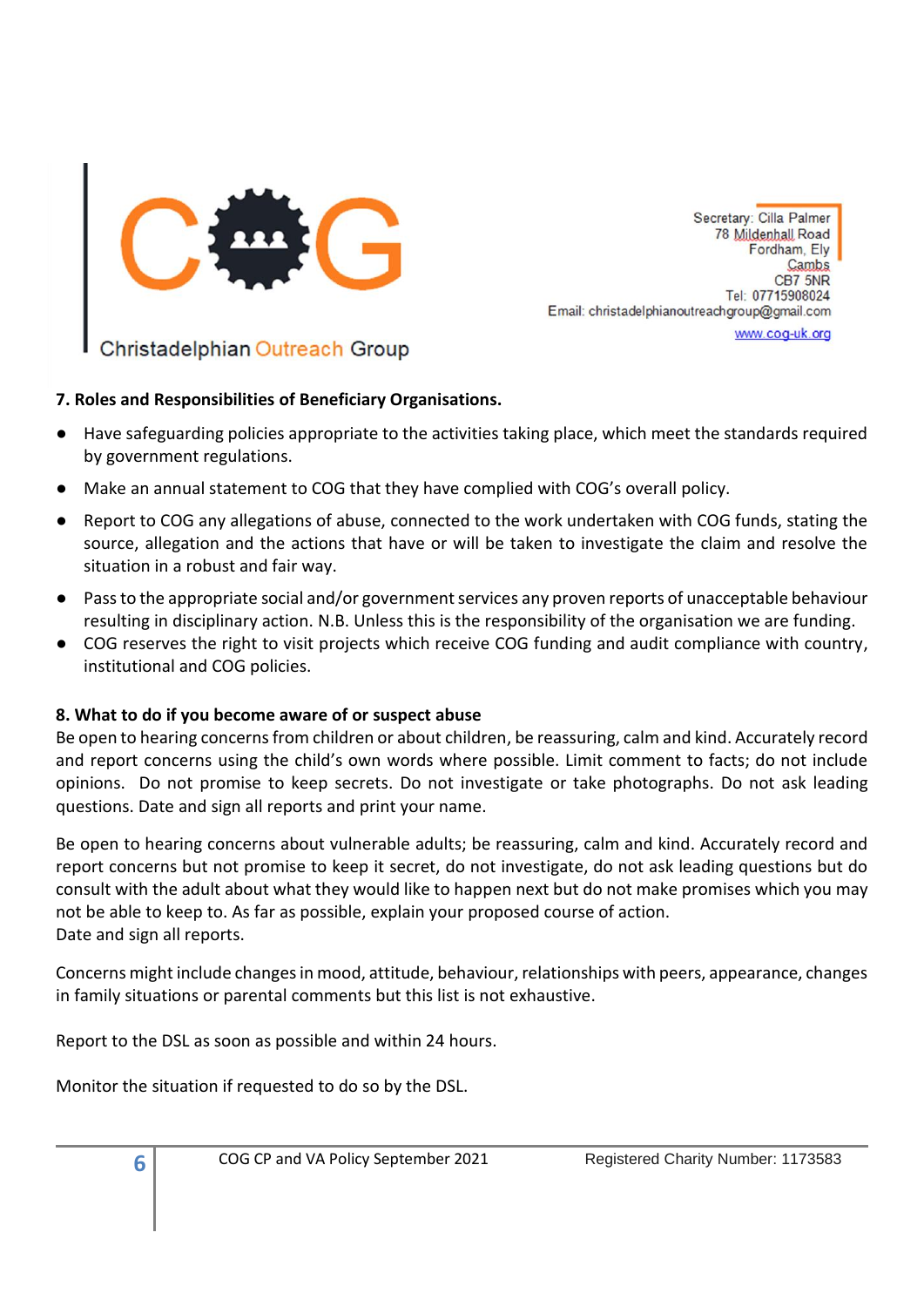

Christadelphian Outreach Group

# **7. Roles and Responsibilities of Beneficiary Organisations.**

- Have safeguarding policies appropriate to the activities taking place, which meet the standards required by government regulations.
- Make an annual statement to COG that they have complied with COG's overall policy.
- Report to COG any allegations of abuse, connected to the work undertaken with COG funds, stating the source, allegation and the actions that have or will be taken to investigate the claim and resolve the situation in a robust and fair way.
- Pass to the appropriate social and/or government services any proven reports of unacceptable behaviour resulting in disciplinary action. N.B. Unless this is the responsibility of the organisation we are funding.
- COG reserves the right to visit projects which receive COG funding and audit compliance with country, institutional and COG policies.

# **8. What to do if you become aware of or suspect abuse**

Be open to hearing concerns from children or about children, be reassuring, calm and kind. Accurately record and report concerns using the child's own words where possible. Limit comment to facts; do not include opinions. Do not promise to keep secrets. Do not investigate or take photographs. Do not ask leading questions. Date and sign all reports and print your name.

Be open to hearing concerns about vulnerable adults; be reassuring, calm and kind. Accurately record and report concerns but not promise to keep it secret, do not investigate, do not ask leading questions but do consult with the adult about what they would like to happen next but do not make promises which you may not be able to keep to. As far as possible, explain your proposed course of action. Date and sign all reports.

Concerns might include changes in mood, attitude, behaviour, relationships with peers, appearance, changes in family situations or parental comments but this list is not exhaustive.

Report to the DSL as soon as possible and within 24 hours.

Monitor the situation if requested to do so by the DSL.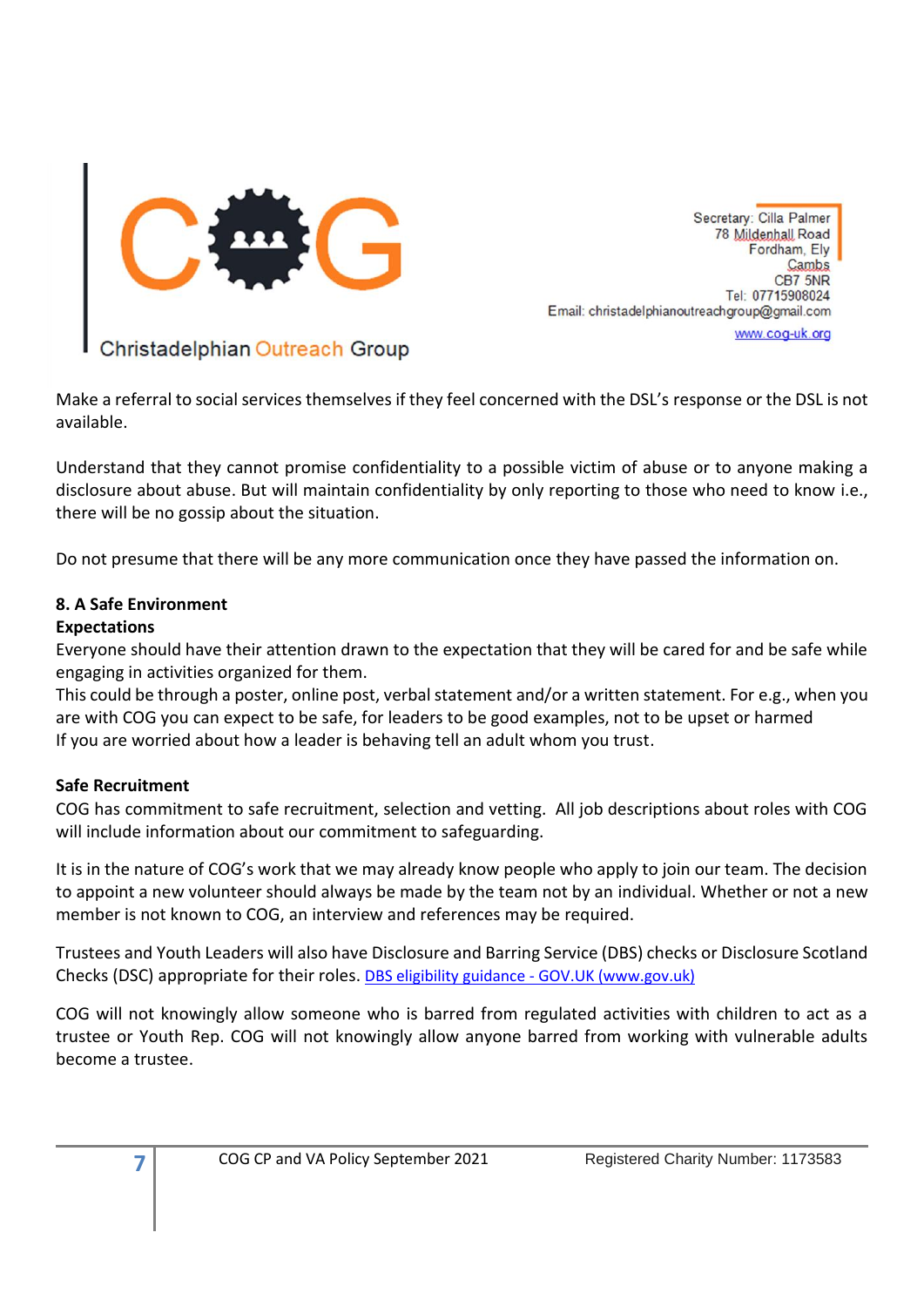

Make a referral to social services themselves if they feel concerned with the DSL's response or the DSL is not available.

Understand that they cannot promise confidentiality to a possible victim of abuse or to anyone making a disclosure about abuse. But will maintain confidentiality by only reporting to those who need to know i.e., there will be no gossip about the situation.

Do not presume that there will be any more communication once they have passed the information on.

#### **8. A Safe Environment**

### **Expectations**

Everyone should have their attention drawn to the expectation that they will be cared for and be safe while engaging in activities organized for them.

This could be through a poster, online post, verbal statement and/or a written statement. For e.g., when you are with COG you can expect to be safe, for leaders to be good examples, not to be upset or harmed If you are worried about how a leader is behaving tell an adult whom you trust.

#### **Safe Recruitment**

**7**

COG has commitment to safe recruitment, selection and vetting. All job descriptions about roles with COG will include information about our commitment to safeguarding.

It is in the nature of COG's work that we may already know people who apply to join our team. The decision to appoint a new volunteer should always be made by the team not by an individual. Whether or not a new member is not known to COG, an interview and references may be required.

Trustees and Youth Leaders will also have Disclosure and Barring Service (DBS) checks or Disclosure Scotland Checks (DSC) appropriate for their roles. [DBS eligibility guidance -](https://www.gov.uk/government/collections/dbs-eligibility-guidance) GOV.UK (www.gov.uk)

COG will not knowingly allow someone who is barred from regulated activities with children to act as a trustee or Youth Rep. COG will not knowingly allow anyone barred from working with vulnerable adults become a trustee.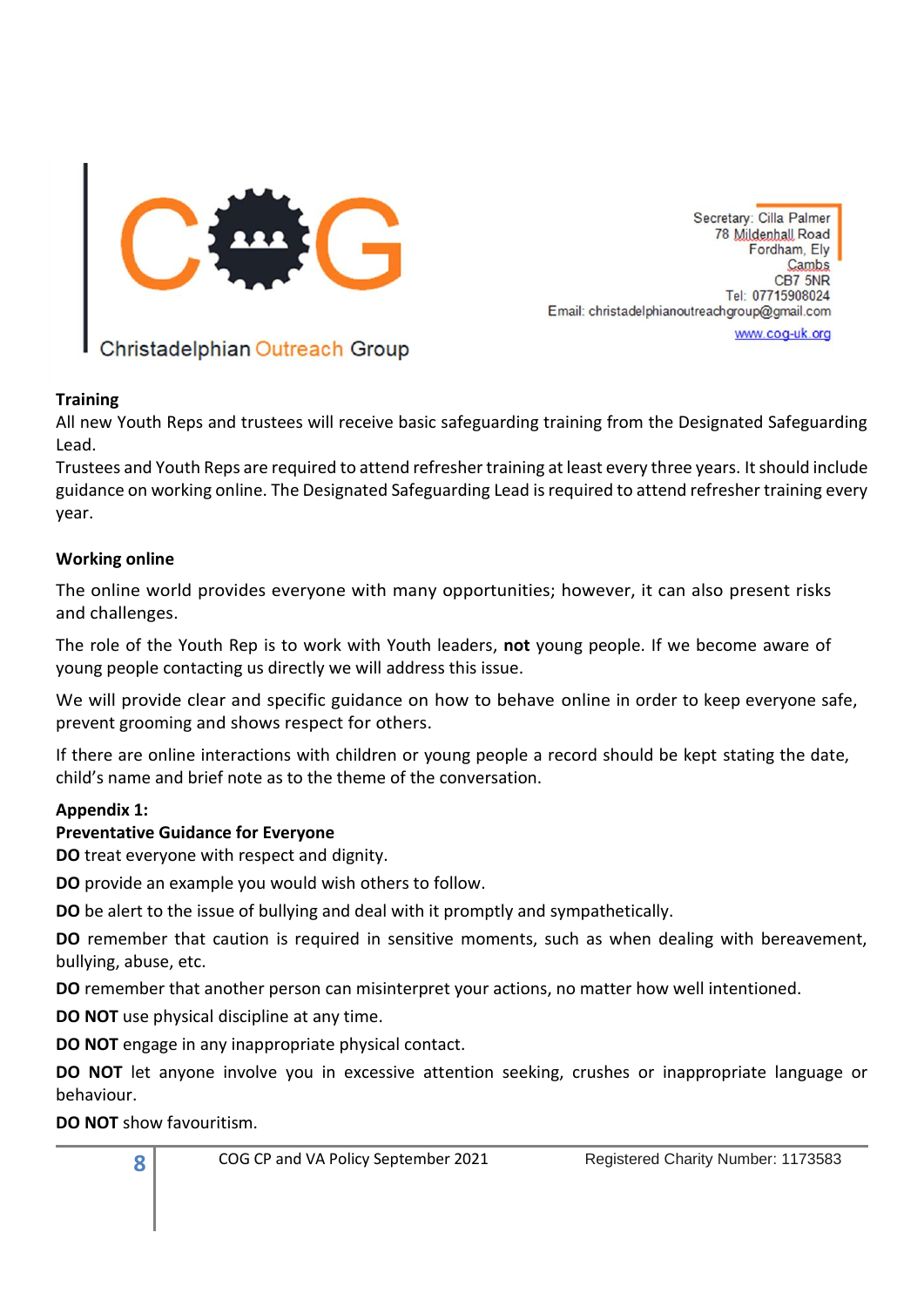

www.coq-uk.org

# Christadelphian Outreach Group

#### **Training**

All new Youth Reps and trustees will receive basic safeguarding training from the Designated Safeguarding Lead.

Trustees and Youth Reps are required to attend refresher training at least every three years. It should include guidance on working online. The Designated Safeguarding Lead is required to attend refresher training every year.

#### **Working online**

The online world provides everyone with many opportunities; however, it can also present risks and challenges.

The role of the Youth Rep is to work with Youth leaders, **not** young people. If we become aware of young people contacting us directly we will address this issue.

We will provide clear and specific guidance on how to behave online in order to keep everyone safe, prevent grooming and shows respect for others.

If there are online interactions with children or young people a record should be kept stating the date, child's name and brief note as to the theme of the conversation.

#### **Appendix 1:**

#### **Preventative Guidance for Everyone**

**DO** treat everyone with respect and dignity.

**DO** provide an example you would wish others to follow.

**DO** be alert to the issue of bullying and deal with it promptly and sympathetically.

**DO** remember that caution is required in sensitive moments, such as when dealing with bereavement, bullying, abuse, etc.

**DO** remember that another person can misinterpret your actions, no matter how well intentioned.

**DO NOT** use physical discipline at any time.

**DO NOT** engage in any inappropriate physical contact.

**DO NOT** let anyone involve you in excessive attention seeking, crushes or inappropriate language or behaviour.

**DO NOT** show favouritism.

**8**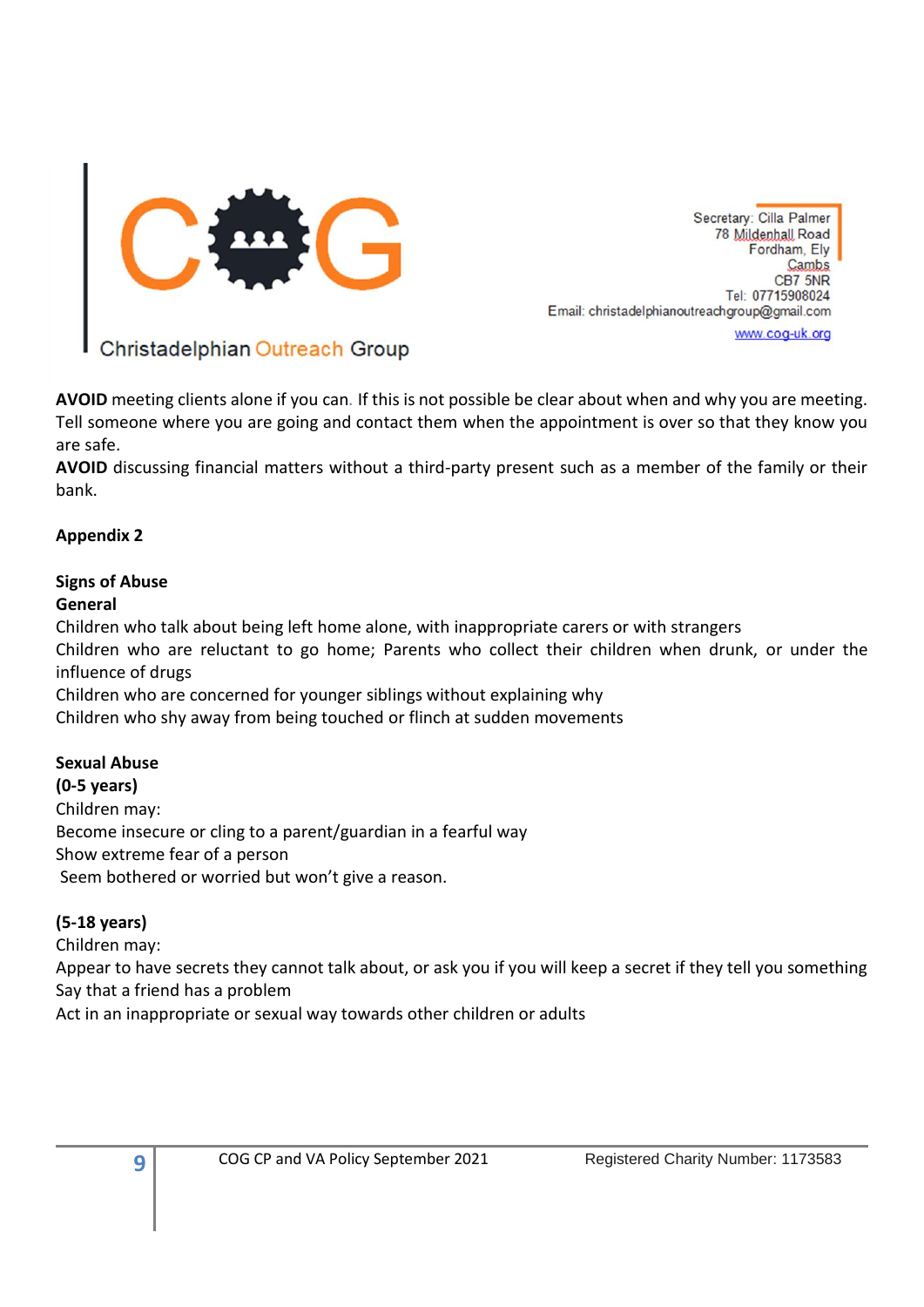

Christadelphian Outreach Group

**AVOID** meeting clients alone if you can*.* If this is not possible be clear about when and why you are meeting. Tell someone where you are going and contact them when the appointment is over so that they know you are safe.

**AVOID** discussing financial matters without a third-party present such as a member of the family or their bank.

# **Appendix 2**

# **Signs of Abuse**

# **General**

Children who talk about being left home alone, with inappropriate carers or with strangers

Children who are reluctant to go home; Parents who collect their children when drunk, or under the influence of drugs

Children who are concerned for younger siblings without explaining why

Children who shy away from being touched or flinch at sudden movements

#### **Sexual Abuse**

**(0-5 years)**  Children may: Become insecure or cling to a parent/guardian in a fearful way Show extreme fear of a person Seem bothered or worried but won't give a reason.

# **(5-18 years)**

Children may:

Appear to have secrets they cannot talk about, or ask you if you will keep a secret if they tell you something Say that a friend has a problem

Act in an inappropriate or sexual way towards other children or adults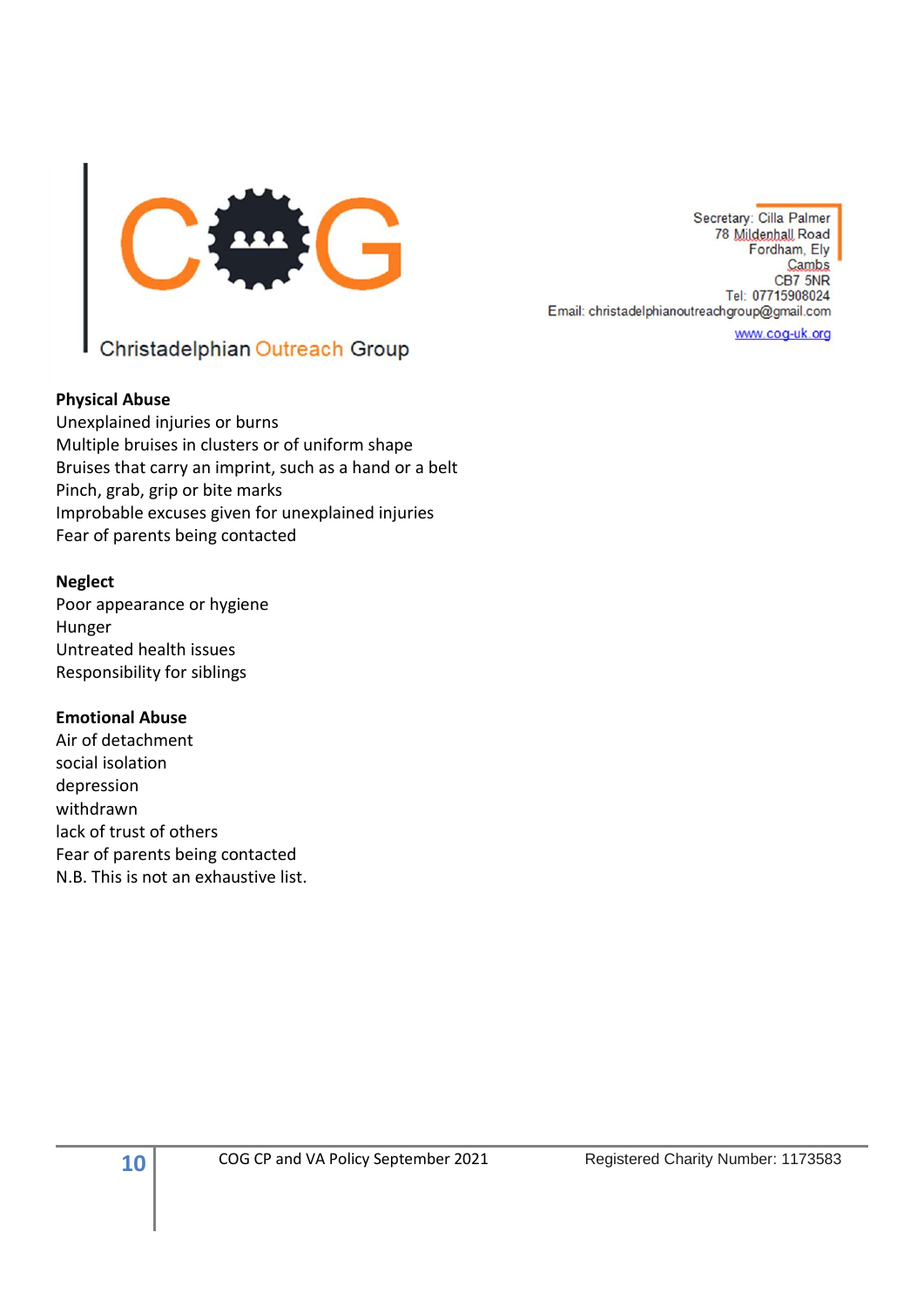

# Christadelphian Outreach Group

#### **Physical Abuse**

Unexplained injuries or burns Multiple bruises in clusters or of uniform shape Bruises that carry an imprint, such as a hand or a belt Pinch, grab, grip or bite marks Improbable excuses given for unexplained injuries Fear of parents being contacted

#### **Neglect**

Poor appearance or hygiene Hunger Untreated health issues Responsibility for siblings

#### **Emotional Abuse**

Air of detachment social isolation depression withdrawn lack of trust of others Fear of parents being contacted N.B. This is not an exhaustive list.

Secretary: Cilla Palmer 78 Mildenhall Road Fordham, Ely Cambs CB7 5NR Tel: 07715908024 Email: christadelphianoutreachgroup@gmail.com

www.cog-uk.org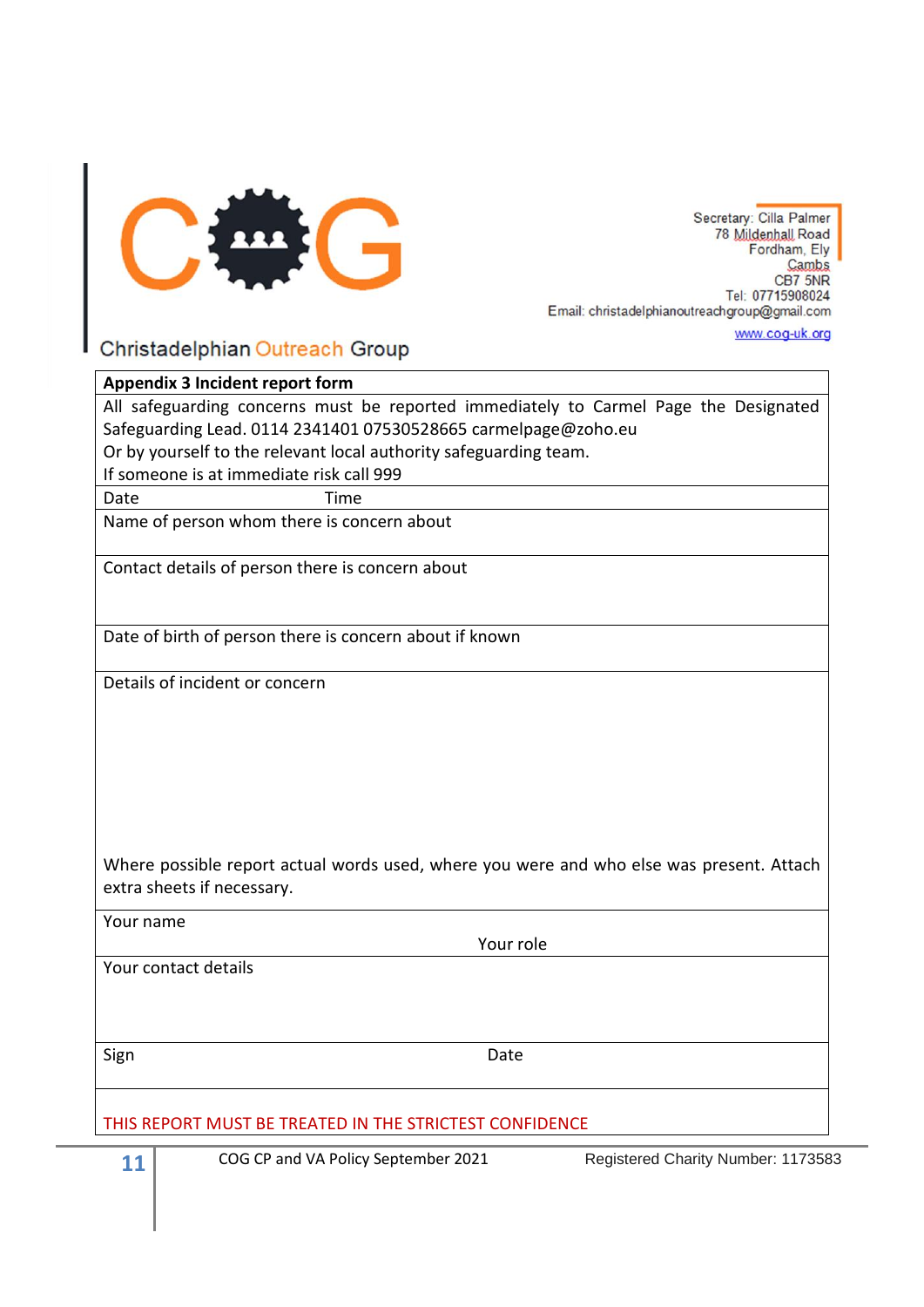

www.cog-uk.org

#### Christadelphian Outreach Group

# **Appendix 3 Incident report form**

All safeguarding concerns must be reported immediately to Carmel Page the Designated Safeguarding Lead. 0114 2341401 07530528665 [carmelpage@zoho.eu](mailto:carmelpage@zoho.eu) Or by yourself to the relevant local authority safeguarding team.

If someone is at immediate risk call 999

Date Time

Name of person whom there is concern about

Contact details of person there is concern about

Date of birth of person there is concern about if known

Details of incident or concern

Where possible report actual words used, where you were and who else was present. Attach extra sheets if necessary.

Your name

Your contact details

Sign **Date** 

Your role

THIS REPORT MUST BE TREATED IN THE STRICTEST CONFIDENCE

**11** COG CP and VA Policy September 2021 Registered Charity Number: 1173583